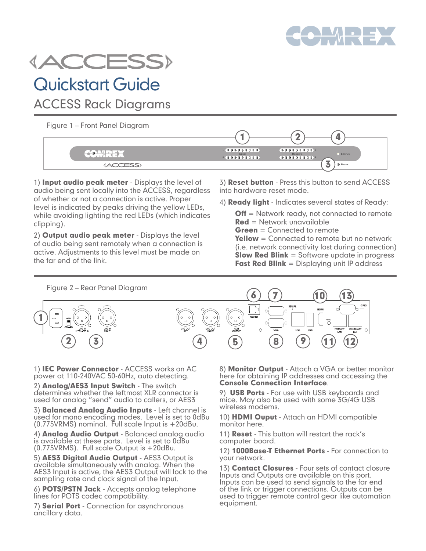



# Quickstart Guide

ACCESS Rack Diagrams

Figure 1 – Front Panel Diagram

| $\begin{array}{c} 1 & 0 & 0 & 0 & 0 & 0 & 0 & 0 & 0 \\ \end{array}$<br><b>SEND</b><br>$R$ ( $R$ ) $R$ ) $R$ ) $R$ ( $R$ ) $R$ ( $R$ ) $R$ ( $R$ ) $R$ ( $R$ ) $R$ ( $R$ ) $R$ | RECEIVE | S <sub>TATUS</sub> |
|-------------------------------------------------------------------------------------------------------------------------------------------------------------------------------|---------|--------------------|
|                                                                                                                                                                               |         | <b>RESET</b><br>o  |

1) Input audio peak meter - Displays the level of audio being sent locally into the ACCESS, regardless of whether or not a connection is active. Proper level is indicated by peaks driving the yellow LEDs, while avoiding lighting the red LEDs (which indicates clipping).

2) Output audio peak meter - Displays the level of audio being sent remotely when a connection is active. Adjustments to this level must be made on the far end of the link.

3) Reset button - Press this button to send ACCESS into hardware reset mode.

4) **Ready light** - Indicates several states of Ready:

**Off** = Network ready, not connected to remote  $Red = Network$  unavailable  $Green = Connected to remote$ Yellow = Connected to remote but no network

(i.e. network connectivity lost during connection) **Slow Red Blink** = Software update in progress Fast Red Blink = Displaying unit IP address



1) IEC Power Connector - ACCESS works on AC power at 110-240VAC 50-60Hz, auto detecting.

2) Analog/AES3 Input Switch - The switch determines whether the leftmost XLR connector is used for analog "send" audio to callers, or AES3

3) Balanced Analog Audio Inputs - Left channel is used for mono encoding modes. Level is set to 0dBu (0.775VRMS) nominal. Full scale Input is +20dBu.

4) **Analog Audio Output** - Balanced analog audio is available at these ports. Level is set to 0dBu (0.775VRMS). Full scale Output is +20dBu.

5) AES3 Digital Audio Output - AES3 Output is available simultaneously with analog. When the AES3 Input is active, the AES3 Output will lock to the sampling rate and clock signal of the Input.

6) POTS/PSTN Jack - Accepts analog telephone lines for POTS codec compatibility.

7) Serial Port - Connection for asynchronous ancillary data.

8) **Monitor Output** - Attach a VGA or better monitor here for obtaining IP addresses and accessing the Console Connection Interface.

9) **USB Ports** - For use with USB keyboards and mice. May also be used with some 3G/4G USB wireless modems.

10) HDMI Ouput - Attach an HDMI compatible monitor here.

11) **Reset** - This button will restart the rack's computer board.

12) 1000Base-T Ethernet Ports - For connection to your network.

13) Contact Closures - Four sets of contact closure Inputs and Outputs are available on this port. Inputs can be used to send signals to the far end of the link or trigger connections. Outputs can be used to trigger remote control gear like automation equipment.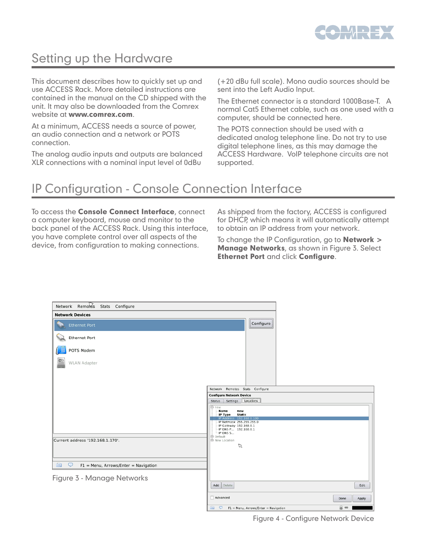

## Setting up the Hardware

This document describes how to quickly set up and use ACCESS Rack. More detailed instructions are contained in the manual on the CD shipped with the unit. It may also be downloaded from the Comrex website at www.comrex.com.

At a minimum, ACCESS needs a source of power, an audio connection and a network or POTS connection.

The analog audio inputs and outputs are balanced XLR connections with a nominal input level of 0dBu

(+20 dBu full scale). Mono audio sources should be sent into the Left Audio Input.

The Ethernet connector is a standard 1000Base-T. A normal Cat5 Ethernet cable, such as one used with a computer, should be connected here.

The POTS connection should be used with a dedicated analog telephone line. Do not try to use digital telephone lines, as this may damage the ACCESS Hardware. VoIP telephone circuits are not supported.

### IP Configuration - Console Connection Interface

To access the **Console Connect Interface**, connect a computer keyboard, mouse and monitor to the back panel of the ACCESS Rack. Using this interface, you have complete control over all aspects of the device, from configuration to making connections.

As shipped from the factory, ACCESS is configured for DHCP, which means it will automatically attempt to obtain an IP address from your network.

To change the IP Configuration, go to **Network >** Manage Networks, as shown in Figure 3. Select Ethernet Port and click Configure.

| Network Remotes<br>Stats Configure                         |                                                                                    |
|------------------------------------------------------------|------------------------------------------------------------------------------------|
| <b>Network Devices</b>                                     |                                                                                    |
| <b>Ethernet Port</b>                                       | Configure                                                                          |
| Ethernet Port                                              |                                                                                    |
| POTS Modem                                                 |                                                                                    |
| $\frac{\text{MS}}{\text{MS}}$<br><b>WLAN Adapter</b>       |                                                                                    |
|                                                            |                                                                                    |
|                                                            | Network Remotes Stats Configure                                                    |
|                                                            | <b>Configure Network Device</b><br>Settings<br>Locations<br>Status                 |
|                                                            | <b>E</b> -new<br>Name<br>new<br>IP Type<br>Static                                  |
|                                                            | IP Address 192.168.0.100<br>- IP Netmask 255.255.255.0<br>- IP Gateway 192.168.0.1 |
|                                                            | IP DNS P 192.168.0.1<br>$-$ IP DNS S<br>由 Default                                  |
| Current address '192.168.1.170'.                           | <b>B</b> New Location                                                              |
|                                                            | $\varnothing$                                                                      |
|                                                            |                                                                                    |
| <b>Form</b><br>₽<br>$F1 =$ Menu, Arrows/Enter = Navigation |                                                                                    |
| Figure 3 - Manage Networks                                 |                                                                                    |
|                                                            | Add<br>Delete<br>Edit                                                              |
|                                                            | Advanced<br>Done<br>Apply                                                          |
|                                                            | @ @<br><b>Security</b><br>! ♀<br>F1 = Menu, Arrows/Enter = Navigation              |

Figure 4 - Configure Network Device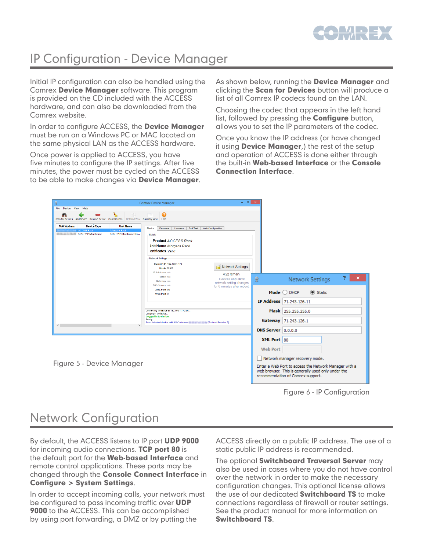

## IP Configuration - Device Manager

Initial IP configuration can also be handled using the Comrex Device Manager software. This program is provided on the CD included with the ACCESS hardware, and can also be downloaded from the Comrex website.

In order to configure ACCESS, the **Device Manager** must be run on a Windows PC or MAC located on the same physical LAN as the ACCESS hardware.

Once power is applied to ACCESS, you have five minutes to configure the IP settings. After five minutes, the power must be cycled on the ACCESS to be able to make changes via **Device Manager**. As shown below, running the **Device Manager** and clicking the **Scan for Devices** button will produce a list of all Comrex IP codecs found on the LAN.

Choosing the codec that appears in the left hand list, followed by pressing the **Configure** button, allows you to set the IP parameters of the codec.

Once you know the IP address (or have changed it using **Device Manager**, the rest of the setup and operation of ACCESS is done either through the built-in Web-based Interface or the Console Connection Interface.

| ę                                                                                                                                                                             | $\Box$ $\Box$ $\Box$ $\Box$ $\times$<br><b>Comrex Device Manager</b>                                                                                                                                                                                                                                                       |                           |                                                                                                                                                  |
|-------------------------------------------------------------------------------------------------------------------------------------------------------------------------------|----------------------------------------------------------------------------------------------------------------------------------------------------------------------------------------------------------------------------------------------------------------------------------------------------------------------------|---------------------------|--------------------------------------------------------------------------------------------------------------------------------------------------|
| File Device View Help                                                                                                                                                         |                                                                                                                                                                                                                                                                                                                            |                           |                                                                                                                                                  |
| $\sqrt{a}$<br>Scan for Devices Add Device Remove Device Clear Devices Detailed View Summary View                                                                              | æ.<br>Help                                                                                                                                                                                                                                                                                                                 |                           |                                                                                                                                                  |
| <b>Device Type</b><br><b>MAC Address</b><br><b>Unit Name</b><br><b>EL ACCESS Rack</b><br><b>Morgans Rack</b><br><b>Community STAC-VIP Mainframe</b><br>STAC-VIP Mainframe 00: | Device<br>Firmware<br>Licenses<br>Self Test<br>Web Configuration<br>Details<br><b>Product ACCESS Rack</b><br><b>Jnit Name Morgans Rack</b><br>ertificates Valid<br><b>Network Settings</b><br>Current IP 192.168.1.170<br><sup>18</sup> Network Settings<br><b>Mode DHCP</b><br>IP Address n/a<br>4:22 remain.<br>Mask n/a |                           | 2                                                                                                                                                |
|                                                                                                                                                                               | Devices only allow<br>Gateway n/a<br>network setting changes<br>DNS Server n/a<br>for 5 minutes after reboot.<br>XML Port 80                                                                                                                                                                                               | 笑                         | ×<br><b>Network Settings</b><br>Static<br>Mode $\bigcirc$ DHCP                                                                                   |
|                                                                                                                                                                               | Web Port 0                                                                                                                                                                                                                                                                                                                 |                           |                                                                                                                                                  |
|                                                                                                                                                                               |                                                                                                                                                                                                                                                                                                                            |                           | IP Address 71,243,126,11                                                                                                                         |
| Connecting to device at 192.166.1.170.80.<br>Logging in to device                                                                                                             |                                                                                                                                                                                                                                                                                                                            |                           | Mask 255,255,255.0                                                                                                                               |
| Logged in to device.<br>Ready.<br>Scan detected device with MAC address (Mac Antonio Mac Protocol Revision 2)<br>$\left\langle \right\rangle$<br>$\rightarrow$                |                                                                                                                                                                                                                                                                                                                            |                           | Gateway 71.243.126.1                                                                                                                             |
|                                                                                                                                                                               |                                                                                                                                                                                                                                                                                                                            | <b>DNS Server</b> 0.0.0.0 |                                                                                                                                                  |
|                                                                                                                                                                               |                                                                                                                                                                                                                                                                                                                            | XML Port 80               |                                                                                                                                                  |
|                                                                                                                                                                               |                                                                                                                                                                                                                                                                                                                            | <b>Web Port</b>           |                                                                                                                                                  |
| Figure 5 - Device Manager                                                                                                                                                     |                                                                                                                                                                                                                                                                                                                            |                           | Network manager recovery mode.                                                                                                                   |
|                                                                                                                                                                               |                                                                                                                                                                                                                                                                                                                            |                           | Enter a Web Port to access the Network Manager with a<br>web browser. This is generally used only under the<br>recommendation of Comrex support. |

Figure 6 - IP Configuration

### Network Configuration

By default, the ACCESS listens to IP port **UDP 9000** for incoming audio connections. TCP port 80 is the default port for the **Web-based Interface** and remote control applications. These ports may be changed through the **Console Connect Interface** in Configure > System Settings.

In order to accept incoming calls, your network must be configured to pass incoming traffic over **UDP 9000** to the ACCESS. This can be accomplished by using port forwarding, a DMZ or by putting the

ACCESS directly on a public IP address. The use of a static public IP address is recommended.

The optional **Switchboard Traversal Server** may also be used in cases where you do not have control over the network in order to make the necessary configuration changes. This optional license allows the use of our dedicated **Switchboard TS** to make connections regardless of firewall or router settings. See the product manual for more information on Switchboard TS.